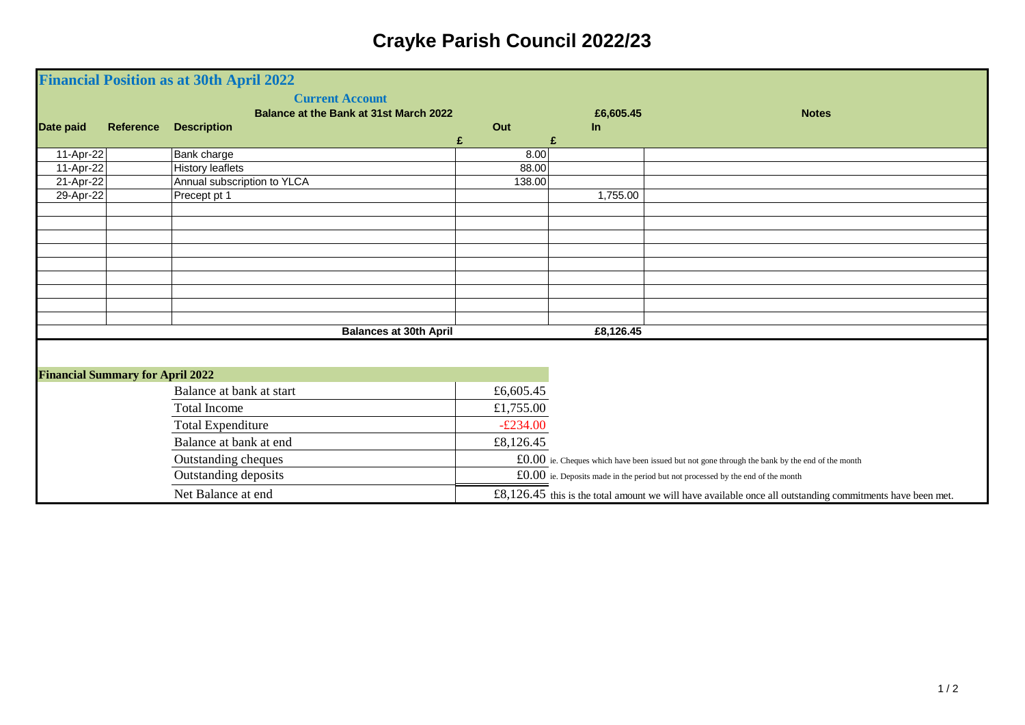## **Crayke Parish Council 2022/23**

|                        |                                         | <b>Financial Position as at 30th April 2022</b>                                               |                |                 |                                                                                                             |
|------------------------|-----------------------------------------|-----------------------------------------------------------------------------------------------|----------------|-----------------|-------------------------------------------------------------------------------------------------------------|
| Date paid              | <b>Reference</b>                        | <b>Current Account</b><br><b>Balance at the Bank at 31st March 2022</b><br><b>Description</b> | Out            | £6,605.45<br>In | <b>Notes</b>                                                                                                |
|                        |                                         |                                                                                               | £<br>£<br>8.00 |                 |                                                                                                             |
| 11-Apr-22<br>11-Apr-22 |                                         | Bank charge<br><b>History leaflets</b>                                                        | 88.00          |                 |                                                                                                             |
| 21-Apr-22              |                                         | Annual subscription to YLCA                                                                   | 138.00         |                 |                                                                                                             |
| 29-Apr-22              |                                         | Precept pt 1                                                                                  |                | 1,755.00        |                                                                                                             |
|                        |                                         |                                                                                               |                |                 |                                                                                                             |
|                        |                                         |                                                                                               |                |                 |                                                                                                             |
|                        |                                         |                                                                                               |                |                 |                                                                                                             |
|                        |                                         |                                                                                               |                |                 |                                                                                                             |
|                        |                                         |                                                                                               |                |                 |                                                                                                             |
|                        |                                         |                                                                                               |                |                 |                                                                                                             |
|                        |                                         |                                                                                               |                |                 |                                                                                                             |
|                        |                                         |                                                                                               |                |                 |                                                                                                             |
|                        |                                         | <b>Balances at 30th April</b>                                                                 |                | £8,126.45       |                                                                                                             |
|                        | <b>Financial Summary for April 2022</b> |                                                                                               |                |                 |                                                                                                             |
|                        |                                         | Balance at bank at start                                                                      | £6,605.45      |                 |                                                                                                             |
|                        |                                         | <b>Total Income</b>                                                                           | £1,755.00      |                 |                                                                                                             |
|                        |                                         | <b>Total Expenditure</b>                                                                      | $-£234.00$     |                 |                                                                                                             |
|                        |                                         | Balance at bank at end                                                                        | £8,126.45      |                 |                                                                                                             |
|                        |                                         | Outstanding cheques                                                                           |                |                 | $\pounds0.00$ ie. Cheques which have been issued but not gone through the bank by the end of the month      |
|                        |                                         | Outstanding deposits                                                                          |                |                 | $\pounds0.00$ ie. Deposits made in the period but not processed by the end of the month                     |
|                        |                                         | Net Balance at end                                                                            |                |                 | $£8,126.45$ this is the total amount we will have available once all outstanding commitments have been met. |